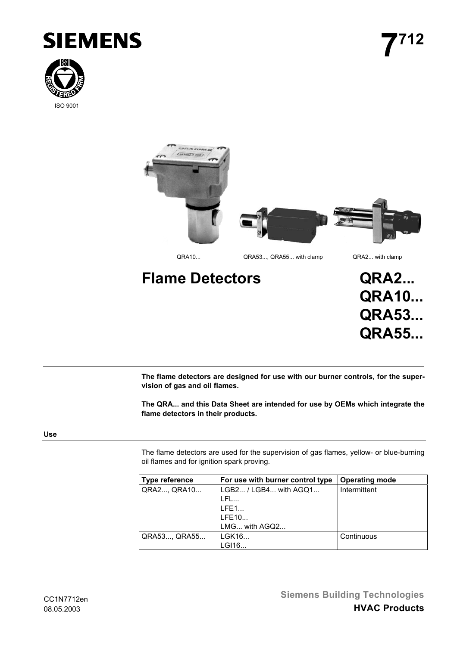





**Flame Detectors QRA2... QRA10... QRA53... QRA55...**

**The flame detectors are designed for use with our burner controls, for the supervision of gas and oil flames.**

**The QRA... and this Data Sheet are intended for use by OEMs which integrate the flame detectors in their products.**

# **Use**

The flame detectors are used for the supervision of gas flames, yellow- or blue-burning oil flames and for ignition spark proving.

| Type reference | For use with burner control type | <b>Operating mode</b> |
|----------------|----------------------------------|-----------------------|
| QRA2, QRA10    | LGB2 / LGB4 with AGQ1            | Intermittent          |
|                | LFL                              |                       |
|                | LFE1                             |                       |
|                | LFE10                            |                       |
|                | LMG with AGQ2                    |                       |
| QRA53, QRA55   | LGK16                            | Continuous            |
|                | LGI16                            |                       |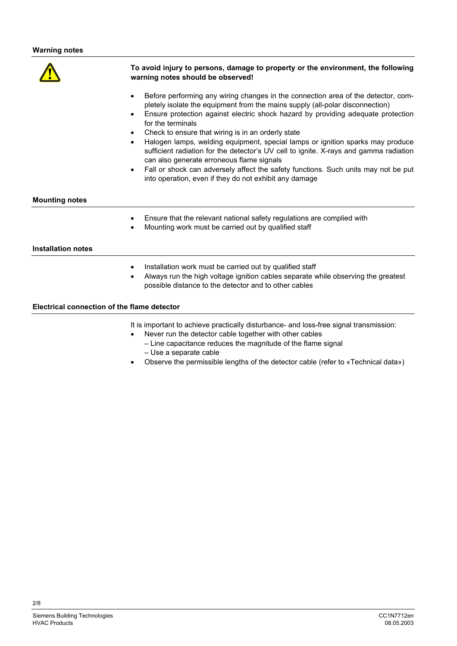

## **To avoid injury to persons, damage to property or the environment, the following warning notes should be observed!**

- Before performing any wiring changes in the connection area of the detector, completely isolate the equipment from the mains supply (all-polar disconnection)
- Ensure protection against electric shock hazard by providing adequate protection for the terminals
- Check to ensure that wiring is in an orderly state
- Halogen lamps, welding equipment, special lamps or ignition sparks may produce sufficient radiation for the detector's UV cell to ignite. X-rays and gamma radiation can also generate erroneous flame signals
- Fall or shock can adversely affect the safety functions. Such units may not be put into operation, even if they do not exhibit any damage

#### **Mounting notes**

- Ensure that the relevant national safety regulations are complied with
- Mounting work must be carried out by qualified staff

### **Installation notes**

- Installation work must be carried out by qualified staff
- Always run the high voltage ignition cables separate while observing the greatest possible distance to the detector and to other cables

## **Electrical connection of the flame detector**

It is important to achieve practically disturbance- and loss-free signal transmission:

- Never run the detector cable together with other cables
	- Line capacitance reduces the magnitude of the flame signal – Use a separate cable
- Observe the permissible lengths of the detector cable (refer to «Technical data»)

 $2/8$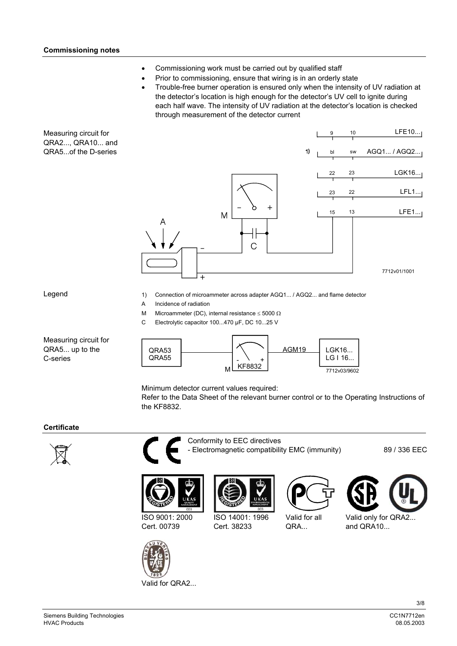- Commissioning work must be carried out by qualified staff
- Prior to commissioning, ensure that wiring is in an orderly state
	- Trouble-free burner operation is ensured only when the intensity of UV radiation at the detector's location is high enough for the detector's UV cell to ignite during each half wave. The intensity of UV radiation at the detector's location is checked through measurement of the detector current

Measuring circuit for QRA2..., QRA10... and QRA5...of the D-series



Legend

- 1) Connection of microammeter across adapter AGQ1... / AGQ2... and flame detector
- A Incidence of radiation
- M Microammeter (DC), internal resistance  $\leq 5000 \Omega$
- C Electrolytic capacitor 100...470 µF, DC 10...25 V

Measuring circuit for QRA5... up to the C-series



Minimum detector current values required:

Refer to the Data Sheet of the relevant burner control or to the Operating Instructions of the KF8832.

## **Certificate**





Conformity to EEC directives - Electromagnetic compatibility EMC (immunity) 89 / 336 EEC



ISO 9001: 2000 Cert. 00739



Valid for QRA2...





Valid for all QRA...



Valid only for QRA2... and QRA10...

3/8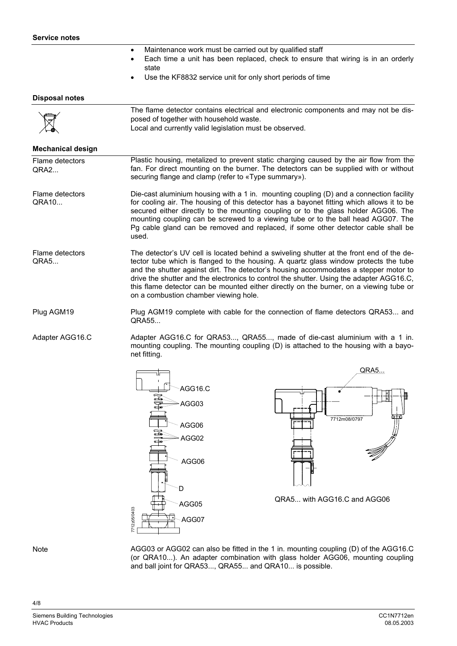- Maintenance work must be carried out by qualified staff
- Each time a unit has been replaced, check to ensure that wiring is in an orderly state
- Use the KF8832 service unit for only short periods of time

#### **Disposal notes**

|             | The flame detector contains electrical and electronic components and may not be dis- |
|-------------|--------------------------------------------------------------------------------------|
|             | posed of together with household waste.                                              |
| $\boxtimes$ | Local and currently valid legislation must be observed.                              |

#### **Mechanical design**

Plastic housing, metalized to prevent static charging caused by the air flow from the fan. For direct mounting on the burner. The detectors can be supplied with or without securing flange and clamp (refer to «Type summary»). Flame detectors QRA2...

Die-cast aluminium housing with a 1 in. mounting coupling (D) and a connection facility for cooling air. The housing of this detector has a bayonet fitting which allows it to be secured either directly to the mounting coupling or to the glass holder AGG06. The mounting coupling can be screwed to a viewing tube or to the ball head AGG07. The Pg cable gland can be removed and replaced, if some other detector cable shall be used. Flame detectors QRA10...

The detector's UV cell is located behind a swiveling shutter at the front end of the detector tube which is flanged to the housing. A quartz glass window protects the tube and the shutter against dirt. The detector's housing accommodates a stepper motor to drive the shutter and the electronics to control the shutter. Using the adapter AGG16.C, this flame detector can be mounted either directly on the burner, on a viewing tube or on a combustion chamber viewing hole. Flame detectors QRA5...

Plug AGM19 complete with cable for the connection of flame detectors QRA53... and QRA55... Plug AGM19

Adapter AGG16.C for QRA53..., QRA55..., made of die-cast aluminium with a 1 in. mounting coupling. The mounting coupling (D) is attached to the housing with a bayonet fitting. Adapter AGG16.C





QRA5... with AGG16.C and AGG06

**Note** 

4/8

AGG03 or AGG02 can also be fitted in the 1 in. mounting coupling (D) of the AGG16.C (or QRA10...). An adapter combination with glass holder AGG06, mounting coupling and ball joint for QRA53..., QRA55... and QRA10... is possible.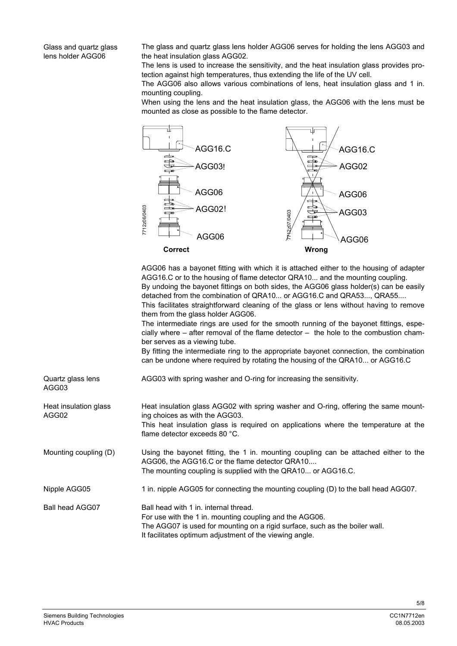Glass and quartz glass lens holder AGG06

The glass and quartz glass lens holder AGG06 serves for holding the lens AGG03 and the heat insulation glass AGG02.

The lens is used to increase the sensitivity, and the heat insulation glass provides protection against high temperatures, thus extending the life of the UV cell.

The AGG06 also allows various combinations of lens, heat insulation glass and 1 in. mounting coupling.

When using the lens and the heat insulation glass, the AGG06 with the lens must be mounted as close as possible to the flame detector.



AGG06 has a bayonet fitting with which it is attached either to the housing of adapter AGG16.C or to the housing of flame detector QRA10... and the mounting coupling. By undoing the bayonet fittings on both sides, the AGG06 glass holder(s) can be easily detached from the combination of QRA10... or AGG16.C and QRA53..., QRA55.... This facilitates straightforward cleaning of the glass or lens without having to remove

them from the glass holder AGG06.

The intermediate rings are used for the smooth running of the bayonet fittings, especially where  $-$  after removal of the flame detector  $-$  the hole to the combustion chamber serves as a viewing tube.

By fitting the intermediate ring to the appropriate bayonet connection, the combination can be undone where required by rotating the housing of the QRA10... or AGG16.C

| Quartz glass lens<br>AGG03     | AGG03 with spring washer and O-ring for increasing the sensitivity.                                                                                                                                                                           |
|--------------------------------|-----------------------------------------------------------------------------------------------------------------------------------------------------------------------------------------------------------------------------------------------|
| Heat insulation glass<br>AGG02 | Heat insulation glass AGG02 with spring washer and O-ring, offering the same mount-<br>ing choices as with the AGG03.<br>This heat insulation glass is required on applications where the temperature at the<br>flame detector exceeds 80 °C. |
| Mounting coupling (D)          | Using the bayonet fitting, the 1 in. mounting coupling can be attached either to the<br>AGG06, the AGG16.C or the flame detector QRA10<br>The mounting coupling is supplied with the QRA10 or AGG16.C.                                        |
| Nipple AGG05                   | 1 in. nipple AGG05 for connecting the mounting coupling (D) to the ball head AGG07.                                                                                                                                                           |
| Ball head AGG07                | Ball head with 1 in. internal thread.<br>For use with the 1 in. mounting coupling and the AGG06.<br>The AGG07 is used for mounting on a rigid surface, such as the boiler wall.<br>It facilitates optimum adjustment of the viewing angle.    |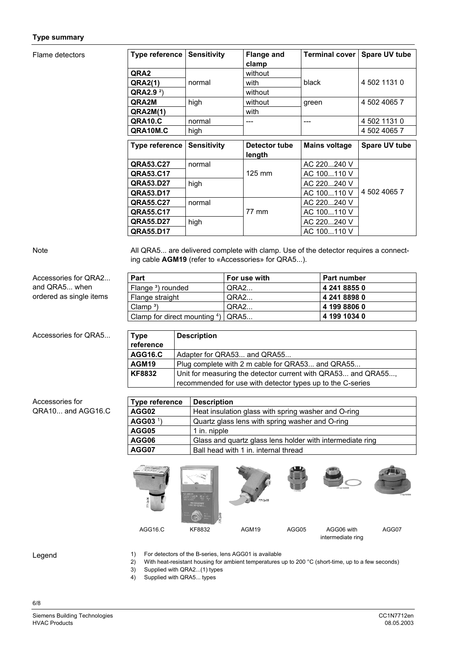### **Type summary**

### Flame detectors

| <b>Type reference</b> | <b>Sensitivity</b> | <b>Flange and</b> | Terminal cover       | Spare UV tube |
|-----------------------|--------------------|-------------------|----------------------|---------------|
|                       |                    | clamp             |                      |               |
| QRA2                  |                    | without           |                      |               |
| <b>QRA2(1)</b>        | normal             | with              | black                | 4 502 1131 0  |
| QRA2.9 <sup>2</sup>   |                    | without           |                      |               |
| QRA2M                 | high               | without           | green                | 4 502 4065 7  |
| <b>QRA2M(1)</b>       |                    | with              |                      |               |
| QRA10.C               | normal             |                   | ---                  | 4 502 1131 0  |
| QRA10M.C              | high               |                   |                      | 4 502 4065 7  |
|                       |                    |                   |                      |               |
|                       |                    |                   |                      |               |
| <b>Type reference</b> | <b>Sensitivity</b> | Detector tube     | <b>Mains voltage</b> | Spare UV tube |
|                       |                    | length            |                      |               |
| QRA53.C27             | normal             |                   | AC 220240 V          |               |
| QRA53.C17             |                    | $125 \text{ mm}$  | AC 100110 V          |               |
| QRA53.D27             | high               |                   | AC 220240 V          |               |
| QRA53.D17             |                    |                   | AC 100110 V          | 4 502 4065 7  |
| QRA55.C27             | normal             |                   | AC 220240 V          |               |
| QRA55.C17             |                    | 77 mm             | AC 100110 V          |               |
| QRA55.D27             | high               |                   | AC 220240 V          |               |

Note

Accessories for QRA5...

QRA10... and AGG16.C

Accessories for

All QRA5... are delivered complete with clamp. Use of the detector requires a connecting cable **AGM19** (refer to «Accessories» for QRA5...).

| Accessories for QRA2    | Part                                          | For use with | <b>Part number</b> |
|-------------------------|-----------------------------------------------|--------------|--------------------|
| and QRA5 when           | Flange <sup>3</sup> ) rounded                 | QRA2         | 4 241 8855 0       |
| ordered as single items | Flange straight                               | QRA2         | 4 241 8898 0       |
|                         | Clamp <sup>3</sup> )                          | QRA2         | 4 199 8806 0       |
|                         | Clamp for direct mounting $4$ ) $\sqrt{QRAS}$ |              | 4 199 1034 0       |

| <b>Type</b><br>reference | <b>Description</b>                                                                                                         |
|--------------------------|----------------------------------------------------------------------------------------------------------------------------|
| <b>AGG16.C</b>           | Adapter for QRA53 and QRA55                                                                                                |
| AGM <sub>19</sub>        | Plug complete with 2 m cable for QRA53 and QRA55                                                                           |
| <b>KF8832</b>            | Unit for measuring the detector current with QRA53 and QRA55<br>recommended for use with detector types up to the C-series |

| Type reference       | <b>Description</b>                                        |  |
|----------------------|-----------------------------------------------------------|--|
| AGG02                | Heat insulation glass with spring washer and O-ring       |  |
| AGG03 <sup>1</sup> ) | Quartz glass lens with spring washer and O-ring           |  |
| AGG05                | 1 in. nipple                                              |  |
| AGG06                | Glass and quartz glass lens holder with intermediate ring |  |
| AGG07                | Ball head with 1 in. internal thread                      |  |



Legend

6/8

- 1) For detectors of the B-series, lens AGG01 is available
- 2) With heat-resistant housing for ambient temperatures up to 200 °C (short-time, up to a few seconds)
- 3) Supplied with QRA2...(1) types
- 4) Supplied with QRA5... types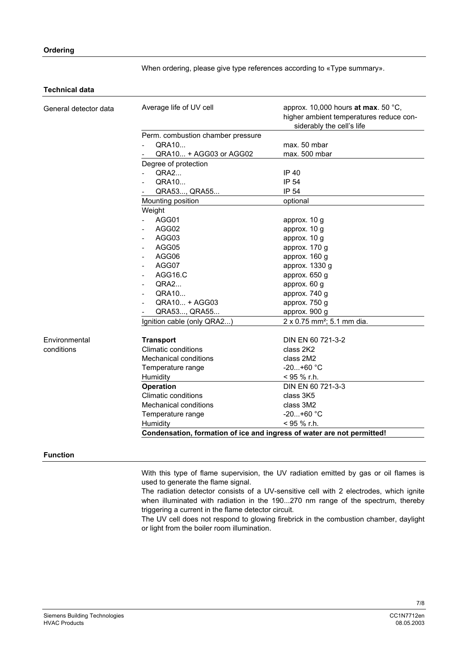When ordering, please give type references according to «Type summary».

## **Technical data**

| General detector data | Average life of UV cell                                                | approx. 10,000 hours at max. 50 °C,<br>higher ambient temperatures reduce con-<br>siderably the cell's life |  |  |
|-----------------------|------------------------------------------------------------------------|-------------------------------------------------------------------------------------------------------------|--|--|
|                       | Perm. combustion chamber pressure                                      |                                                                                                             |  |  |
|                       | QRA10                                                                  | max. 50 mbar                                                                                                |  |  |
|                       | QRA10 + AGG03 or AGG02                                                 | max. 500 mbar                                                                                               |  |  |
|                       | Degree of protection                                                   |                                                                                                             |  |  |
|                       | QRA2                                                                   | IP 40                                                                                                       |  |  |
|                       | QRA10                                                                  | IP 54                                                                                                       |  |  |
|                       | QRA53, QRA55                                                           | IP 54                                                                                                       |  |  |
|                       | Mounting position                                                      | optional                                                                                                    |  |  |
|                       | Weight                                                                 |                                                                                                             |  |  |
|                       | AGG01                                                                  | approx. 10 g                                                                                                |  |  |
|                       | AGG02                                                                  | approx. 10 g                                                                                                |  |  |
|                       | AGG03                                                                  | approx. 10 g                                                                                                |  |  |
|                       | AGG05                                                                  | approx. 170 g                                                                                               |  |  |
|                       | AGG06                                                                  | approx. 160 g                                                                                               |  |  |
|                       | AGG07                                                                  | approx. 1330 g                                                                                              |  |  |
|                       | AGG16.C                                                                | approx. 650 g                                                                                               |  |  |
|                       | QRA2                                                                   | approx. 60 g                                                                                                |  |  |
|                       | QRA10                                                                  | approx. 740 g                                                                                               |  |  |
|                       | QRA10 + AGG03                                                          | approx. 750 g                                                                                               |  |  |
|                       | QRA53, QRA55                                                           | approx. 900 g                                                                                               |  |  |
|                       | Ignition cable (only QRA2)                                             | 2 x 0.75 mm <sup>2</sup> ; 5.1 mm dia.                                                                      |  |  |
|                       |                                                                        |                                                                                                             |  |  |
| Environmental         | <b>Transport</b>                                                       | DIN EN 60 721-3-2                                                                                           |  |  |
| conditions            | <b>Climatic conditions</b>                                             | class 2K2                                                                                                   |  |  |
|                       | <b>Mechanical conditions</b>                                           | class 2M2                                                                                                   |  |  |
|                       | Temperature range                                                      | $-20+60$ °C                                                                                                 |  |  |
|                       | Humidity                                                               | < 95 % r.h.                                                                                                 |  |  |
|                       | <b>Operation</b>                                                       | DIN EN 60 721-3-3                                                                                           |  |  |
|                       | <b>Climatic conditions</b>                                             | class 3K5                                                                                                   |  |  |
|                       | <b>Mechanical conditions</b>                                           | class 3M2                                                                                                   |  |  |
|                       | Temperature range                                                      | $-20+60$ °C                                                                                                 |  |  |
|                       | Humidity                                                               | < 95 % r.h.                                                                                                 |  |  |
|                       | Condensation, formation of ice and ingress of water are not permitted! |                                                                                                             |  |  |

## **Function**

With this type of flame supervision, the UV radiation emitted by gas or oil flames is used to generate the flame signal.

The radiation detector consists of a UV-sensitive cell with 2 electrodes, which ignite when illuminated with radiation in the 190...270 nm range of the spectrum, thereby triggering a current in the flame detector circuit.

The UV cell does not respond to glowing firebrick in the combustion chamber, daylight or light from the boiler room illumination.